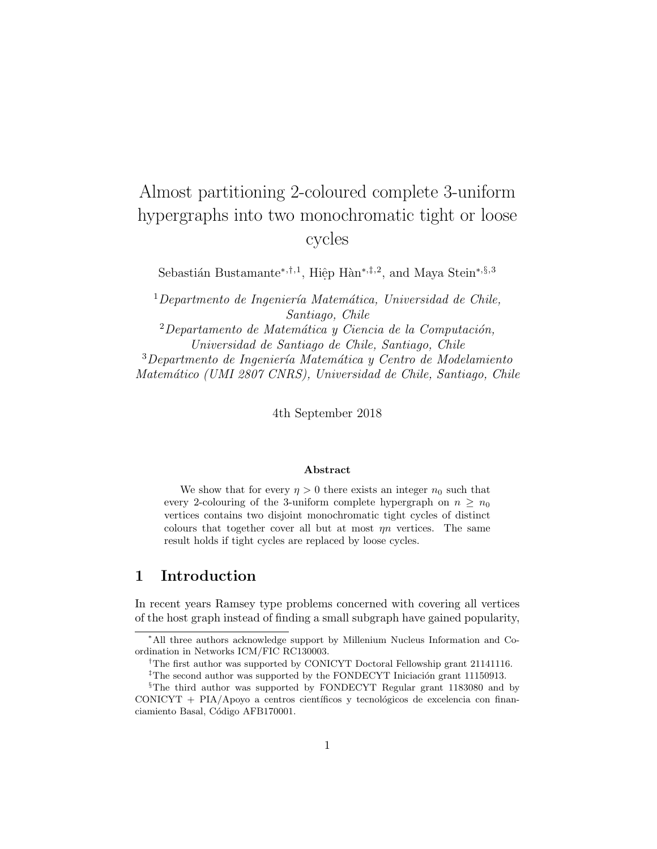# Almost partitioning 2-coloured complete 3-uniform hypergraphs into two monochromatic tight or loose cycles

Sebastián Bustamante<sup>\*,†,1</sup>, Hiệp Hàn<sup>∗,‡,2</sup>, and Maya Stein<sup>\*,§,3</sup>

 $1$ Departmento de Ingeniería Matemática, Universidad de Chile, Santiago, Chile

 $2$ Departamento de Matemática y Ciencia de la Computación, Universidad de Santiago de Chile, Santiago, Chile  $3$ Departmento de Ingeniería Matemática y Centro de Modelamiento Matem´atico (UMI 2807 CNRS), Universidad de Chile, Santiago, Chile

4th September 2018

#### Abstract

We show that for every  $\eta > 0$  there exists an integer  $n_0$  such that every 2-colouring of the 3-uniform complete hypergraph on  $n \geq n_0$ vertices contains two disjoint monochromatic tight cycles of distinct colours that together cover all but at most  $\eta n$  vertices. The same result holds if tight cycles are replaced by loose cycles.

# 1 Introduction

In recent years Ramsey type problems concerned with covering all vertices of the host graph instead of finding a small subgraph have gained popularity,

<sup>∗</sup>All three authors acknowledge support by Millenium Nucleus Information and Coordination in Networks ICM/FIC RC130003.

<sup>&</sup>lt;sup>†</sup>The first author was supported by CONICYT Doctoral Fellowship grant 21141116.

<sup>&</sup>lt;sup>‡</sup>The second author was supported by the FONDECYT Iniciación grant 11150913.

<sup>§</sup>The third author was supported by FONDECYT Regular grant 1183080 and by  $CONICYT + PIA/Apoyo$  a centros científicos y tecnológicos de excelencia con financiamiento Basal, Código AFB170001.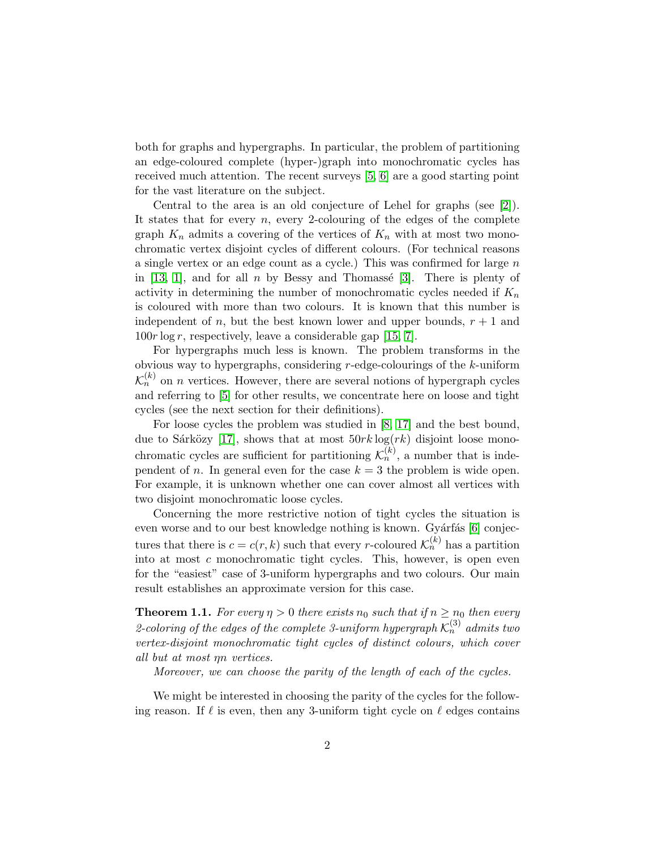both for graphs and hypergraphs. In particular, the problem of partitioning an edge-coloured complete (hyper-)graph into monochromatic cycles has received much attention. The recent surveys [\[5,](#page-12-0) [6\]](#page-12-1) are a good starting point for the vast literature on the subject.

Central to the area is an old conjecture of Lehel for graphs (see [\[2\]](#page-12-2)). It states that for every  $n$ , every 2-colouring of the edges of the complete graph  $K_n$  admits a covering of the vertices of  $K_n$  with at most two monochromatic vertex disjoint cycles of different colours. (For technical reasons a single vertex or an edge count as a cycle.) This was confirmed for large n in [\[13,](#page-13-0) [1\]](#page-12-3), and for all n by Bessy and Thomassé [\[3\]](#page-12-4). There is plenty of activity in determining the number of monochromatic cycles needed if  $K_n$ is coloured with more than two colours. It is known that this number is independent of n, but the best known lower and upper bounds,  $r + 1$  and  $100r \log r$ , respectively, leave a considerable gap [\[15,](#page-13-1) [7\]](#page-12-5).

For hypergraphs much less is known. The problem transforms in the obvious way to hypergraphs, considering  $r$ -edge-colourings of the  $k$ -uniform  $\mathcal{K}_n^{(k)}$  on *n* vertices. However, there are several notions of hypergraph cycles and referring to [\[5\]](#page-12-0) for other results, we concentrate here on loose and tight cycles (see the next section for their definitions).

For loose cycles the problem was studied in [\[8,](#page-12-6) [17\]](#page-13-2) and the best bound, due to Sárközy [\[17\]](#page-13-2), shows that at most  $50rk \log(rk)$  disjoint loose monochromatic cycles are sufficient for partitioning  $\mathcal{K}_n^{(k)}$ , a number that is independent of *n*. In general even for the case  $k = 3$  the problem is wide open. For example, it is unknown whether one can cover almost all vertices with two disjoint monochromatic loose cycles.

Concerning the more restrictive notion of tight cycles the situation is even worse and to our best knowledge nothing is known. Gyárfás [\[6\]](#page-12-1) conjectures that there is  $c = c(r, k)$  such that every r-coloured  $\mathcal{K}_n^{(k)}$  has a partition into at most  $c$  monochromatic tight cycles. This, however, is open even for the "easiest" case of 3-uniform hypergraphs and two colours. Our main result establishes an approximate version for this case.

<span id="page-1-0"></span>**Theorem 1.1.** For every  $\eta > 0$  there exists  $n_0$  such that if  $n \geq n_0$  then every 2-coloring of the edges of the complete 3-uniform hypergraph  $\mathcal{K}_n^{(3)}$  admits two vertex-disjoint monochromatic tight cycles of distinct colours, which cover all but at most ηn vertices.

Moreover, we can choose the parity of the length of each of the cycles.

We might be interested in choosing the parity of the cycles for the following reason. If  $\ell$  is even, then any 3-uniform tight cycle on  $\ell$  edges contains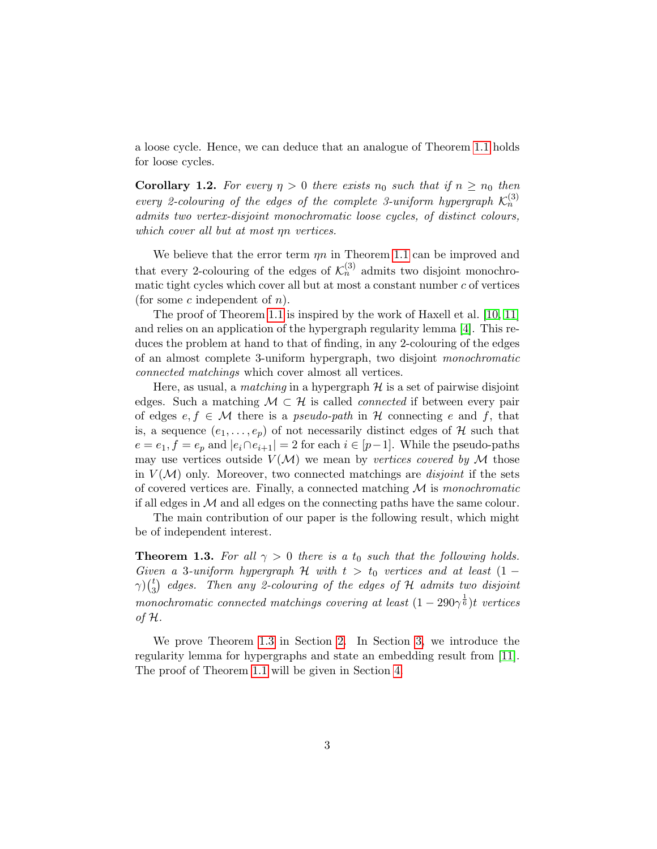a loose cycle. Hence, we can deduce that an analogue of Theorem [1.1](#page-1-0) holds for loose cycles.

**Corollary 1.2.** For every  $\eta > 0$  there exists  $n_0$  such that if  $n \geq n_0$  then every 2-colouring of the edges of the complete 3-uniform hypergraph  $\mathcal{K}_n^{(3)}$ admits two vertex-disjoint monochromatic loose cycles, of distinct colours, which cover all but at most ηn vertices.

We believe that the error term  $\eta n$  in Theorem [1.1](#page-1-0) can be improved and that every 2-colouring of the edges of  $\mathcal{K}_n^{(3)}$  admits two disjoint monochromatic tight cycles which cover all but at most a constant number  $c$  of vertices (for some  $c$  independent of  $n$ ).

The proof of Theorem [1.1](#page-1-0) is inspired by the work of Haxell et al. [\[10,](#page-12-7) [11\]](#page-12-8) and relies on an application of the hypergraph regularity lemma [\[4\]](#page-12-9). This reduces the problem at hand to that of finding, in any 2-colouring of the edges of an almost complete 3-uniform hypergraph, two disjoint monochromatic connected matchings which cover almost all vertices.

Here, as usual, a *matching* in a hypergraph  $\mathcal{H}$  is a set of pairwise disjoint edges. Such a matching  $M \subset \mathcal{H}$  is called *connected* if between every pair of edges  $e, f \in \mathcal{M}$  there is a *pseudo-path* in H connecting e and f, that is, a sequence  $(e_1, \ldots, e_p)$  of not necessarily distinct edges of H such that  $e = e_1, f = e_p$  and  $|e_i \cap e_{i+1}| = 2$  for each  $i \in [p-1]$ . While the pseudo-paths may use vertices outside  $V(M)$  we mean by vertices covered by M those in  $V(\mathcal{M})$  only. Moreover, two connected matchings are *disjoint* if the sets of covered vertices are. Finally, a connected matching  $\mathcal M$  is monochromatic if all edges in  $\mathcal M$  and all edges on the connecting paths have the same colour.

The main contribution of our paper is the following result, which might be of independent interest.

<span id="page-2-0"></span>**Theorem 1.3.** For all  $\gamma > 0$  there is a  $t_0$  such that the following holds. Given a 3-uniform hypergraph H with  $t > t_0$  vertices and at least  $(1 \gamma)$   $\binom{t}{3}$  $\stackrel{t}{\text{3}}$  edges. Then any 2-colouring of the edges of H admits two disjoint monochromatic connected matchings covering at least  $(1-290\gamma^{\frac{1}{6}})$ t vertices of  $H$ .

We prove Theorem [1.3](#page-2-0) in Section [2.](#page-3-0) In Section [3,](#page-7-0) we introduce the regularity lemma for hypergraphs and state an embedding result from [\[11\]](#page-12-8). The proof of Theorem [1.1](#page-1-0) will be given in Section [4.](#page-9-0)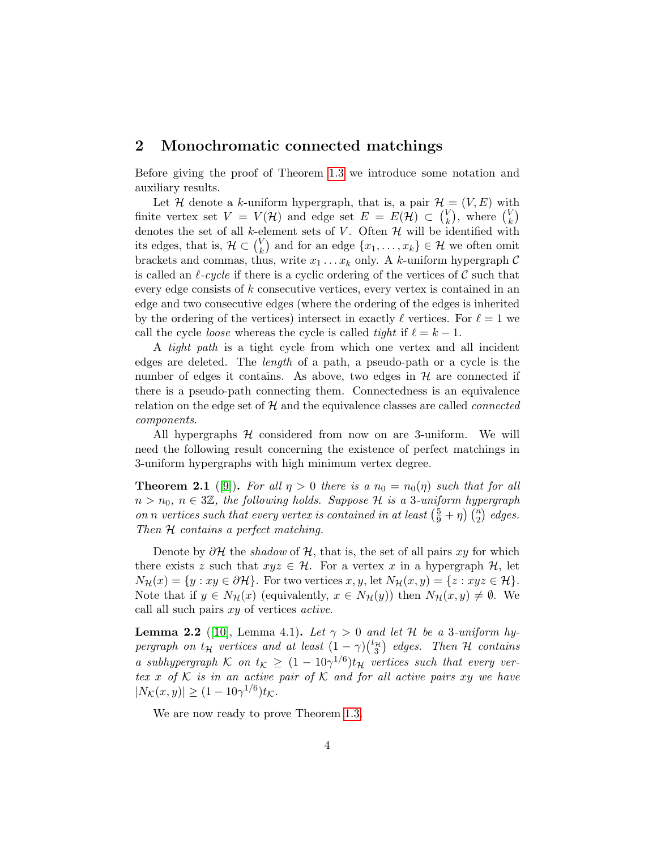#### <span id="page-3-0"></span>2 Monochromatic connected matchings

Before giving the proof of Theorem [1.3](#page-2-0) we introduce some notation and auxiliary results.

Let H denote a k-uniform hypergraph, that is, a pair  $\mathcal{H} = (V, E)$  with finite vertex set  $V = V(\mathcal{H})$  and edge set  $E = E(\mathcal{H}) \subset {V \choose k}$  $\binom{V}{k}$ , where  $\binom{V}{k}$  $_{k}^{\vee})$ denotes the set of all k-element sets of V. Often  $\mathcal H$  will be identified with its edges, that is,  $\mathcal{H} \subset \binom{V}{k}$  $\mathcal{L}_{k}^{V}$  and for an edge  $\{x_1, \ldots, x_k\} \in \mathcal{H}$  we often omit brackets and commas, thus, write  $x_1 \ldots x_k$  only. A k-uniform hypergraph C is called an  $\ell$ -cycle if there is a cyclic ordering of the vertices of C such that every edge consists of k consecutive vertices, every vertex is contained in an edge and two consecutive edges (where the ordering of the edges is inherited by the ordering of the vertices) intersect in exactly  $\ell$  vertices. For  $\ell = 1$  we call the cycle *loose* whereas the cycle is called *tight* if  $\ell = k - 1$ .

A tight path is a tight cycle from which one vertex and all incident edges are deleted. The length of a path, a pseudo-path or a cycle is the number of edges it contains. As above, two edges in  $\mathcal H$  are connected if there is a pseudo-path connecting them. Connectedness is an equivalence relation on the edge set of  $H$  and the equivalence classes are called *connected* components.

All hypergraphs  $H$  considered from now on are 3-uniform. We will need the following result concerning the existence of perfect matchings in 3-uniform hypergraphs with high minimum vertex degree.

<span id="page-3-1"></span>**Theorem 2.1** ([\[9\]](#page-12-10)). For all  $\eta > 0$  there is a  $n_0 = n_0(\eta)$  such that for all  $n > n_0, n \in 3\mathbb{Z}$ , the following holds. Suppose H is a 3-uniform hypergraph on n vertices such that every vertex is contained in at least  $(\frac{5}{9} + \eta)$   $\binom{n}{2}$  edges. Then  $H$  contains a perfect matching.

Denote by  $\partial H$  the *shadow* of H, that is, the set of all pairs xy for which there exists z such that  $xyz \in \mathcal{H}$ . For a vertex x in a hypergraph  $\mathcal{H}$ , let  $N_{\mathcal{H}}(x) = \{y : xy \in \partial \mathcal{H}\}.$  For two vertices  $x, y$ , let  $N_{\mathcal{H}}(x, y) = \{z : xyz \in \mathcal{H}\}.$ Note that if  $y \in N_{\mathcal{H}}(x)$  (equivalently,  $x \in N_{\mathcal{H}}(y)$ ) then  $N_{\mathcal{H}}(x, y) \neq \emptyset$ . We call all such pairs xy of vertices active.

<span id="page-3-2"></span>**Lemma 2.2** ([\[10\]](#page-12-7), Lemma 4.1). Let  $\gamma > 0$  and let H be a 3-uniform hypergraph on  $t_{\mathcal{H}}$  vertices and at least  $(1 - \gamma) {t_{\mathcal{H}} \choose 3}$  edges. Then  $\mathcal H$  contains a subhypergraph K on  $t_{\mathcal{K}} \geq (1 - 10\gamma^{1/6})t_{\mathcal{H}}$  vertices such that every vertex x of K is in an active pair of K and for all active pairs xy we have  $|N_{\mathcal{K}}(x,y)| \ge (1 - 10\gamma^{1/6})t_{\mathcal{K}}.$ 

We are now ready to prove Theorem [1.3.](#page-2-0)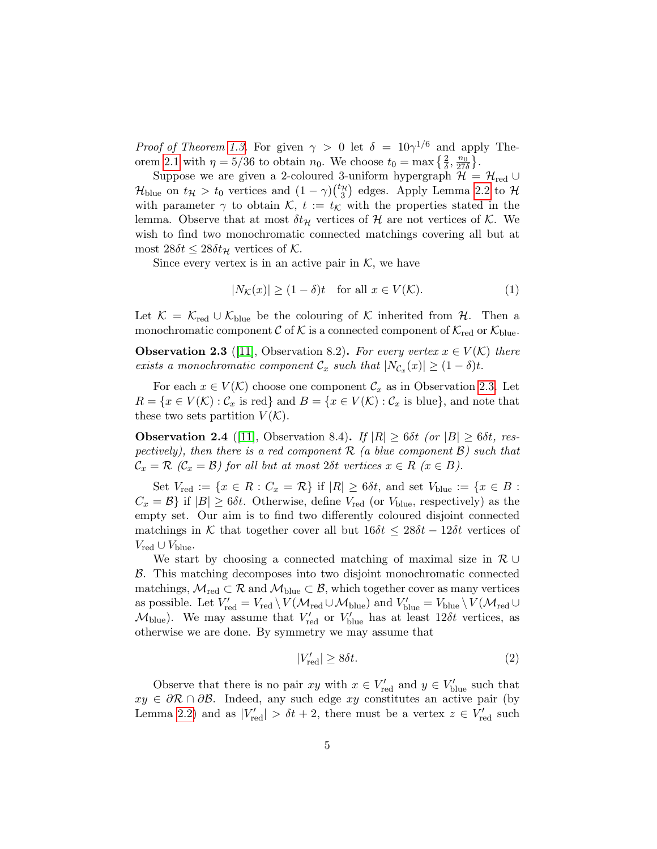*Proof of Theorem [1.3.](#page-2-0)* For given  $\gamma > 0$  let  $\delta = 10\gamma^{1/6}$  and apply The-orem [2.1](#page-3-1) with  $\eta = 5/36$  to obtain  $n_0$ . We choose  $t_0 = \max\left\{\frac{2}{\delta}, \frac{n_0}{27\delta}\right\}$ .

Suppose we are given a 2-coloured 3-uniform hypergraph  $\mathcal{H} = \mathcal{H}_{red} \cup$  $\mathcal{H}_{blue}$  on  $t_{\mathcal{H}} > t_0$  vertices and  $(1 - \gamma) {t_{\mathcal{H}} \choose 3}$  edges. Apply Lemma [2.2](#page-3-2) to  $\mathcal{H}$ with parameter  $\gamma$  to obtain K,  $t := t_{\mathcal{K}}$  with the properties stated in the lemma. Observe that at most  $\delta t_{\mathcal{H}}$  vertices of  $\mathcal{H}$  are not vertices of K. We wish to find two monochromatic connected matchings covering all but at most  $28\delta t \leq 28\delta t$ <sub>H</sub> vertices of K.

Since every vertex is in an active pair in  $K$ , we have

$$
|N_{\mathcal{K}}(x)| \ge (1 - \delta)t \quad \text{for all } x \in V(\mathcal{K}).\tag{1}
$$

Let  $\mathcal{K} = \mathcal{K}_{red} \cup \mathcal{K}_{blue}$  be the colouring of K inherited from  $\mathcal{H}$ . Then a monochromatic component C of K is a connected component of  $\mathcal{K}_{red}$  or  $\mathcal{K}_{blue}$ .

<span id="page-4-0"></span>**Observation 2.3** ([\[11\]](#page-12-8), Observation 8.2). For every vertex  $x \in V(\mathcal{K})$  there exists a monochromatic component  $\mathcal{C}_x$  such that  $|N_{\mathcal{C}_x}(x)| \geq (1 - \delta)t$ .

For each  $x \in V(\mathcal{K})$  choose one component  $\mathcal{C}_x$  as in Observation [2.3.](#page-4-0) Let  $R = \{x \in V(\mathcal{K}) : C_x \text{ is red}\}\$ and  $B = \{x \in V(\mathcal{K}) : C_x \text{ is blue}\}\$ , and note that these two sets partition  $V(K)$ .

**Observation 2.4** ([\[11\]](#page-12-8), Observation 8.4). If  $|R| \ge 6\delta t$  (or  $|B| \ge 6\delta t$ , respectively), then there is a red component  $\mathcal R$  (a blue component  $\mathcal B$ ) such that  $\mathcal{C}_x = \mathcal{R}$  ( $\mathcal{C}_x = \mathcal{B}$ ) for all but at most  $2\delta t$  vertices  $x \in R$  ( $x \in B$ ).

Set  $V_{\text{red}} := \{x \in R : C_x = \mathcal{R}\}\$ if  $|R| \geq 6\delta t$ , and set  $V_{\text{blue}} := \{x \in B :$  $C_x = \mathcal{B}$  if  $|B| \geq 6\delta t$ . Otherwise, define  $V_{\text{red}}$  (or  $V_{\text{blue}}$ , respectively) as the empty set. Our aim is to find two differently coloured disjoint connected matchings in K that together cover all but  $16\delta t \leq 28\delta t - 12\delta t$  vertices of  $V_{\text{red}} \cup V_{\text{blue}}.$ 

We start by choosing a connected matching of maximal size in  $\mathcal{R} \cup$ B. This matching decomposes into two disjoint monochromatic connected matchings,  $\mathcal{M}_{\text{red}} \subset \mathcal{R}$  and  $\mathcal{M}_{\text{blue}} \subset \mathcal{B}$ , which together cover as many vertices as possible. Let  $V'_{\text{red}} = V_{\text{red}} \setminus V(\mathcal{M}_{\text{red}} \cup \mathcal{M}_{\text{blue}})$  and  $V'_{\text{blue}} = V_{\text{blue}} \setminus V(\mathcal{M}_{\text{red}} \cup$  $\mathcal{M}_{blue}$ ). We may assume that  $V'_{red}$  or  $V'_{blue}$  has at least 12 $\delta t$  vertices, as otherwise we are done. By symmetry we may assume that

<span id="page-4-1"></span>
$$
|V'_{\text{red}}| \ge 8\delta t. \tag{2}
$$

Observe that there is no pair  $xy$  with  $x \in V'_{red}$  and  $y \in V'_{blue}$  such that  $xy \in \partial \mathcal{R} \cap \partial \mathcal{B}$ . Indeed, any such edge xy constitutes an active pair (by Lemma [2.2\)](#page-3-2) and as  $|V'_{\text{red}}| > \delta t + 2$ , there must be a vertex  $z \in V'_{\text{red}}$  such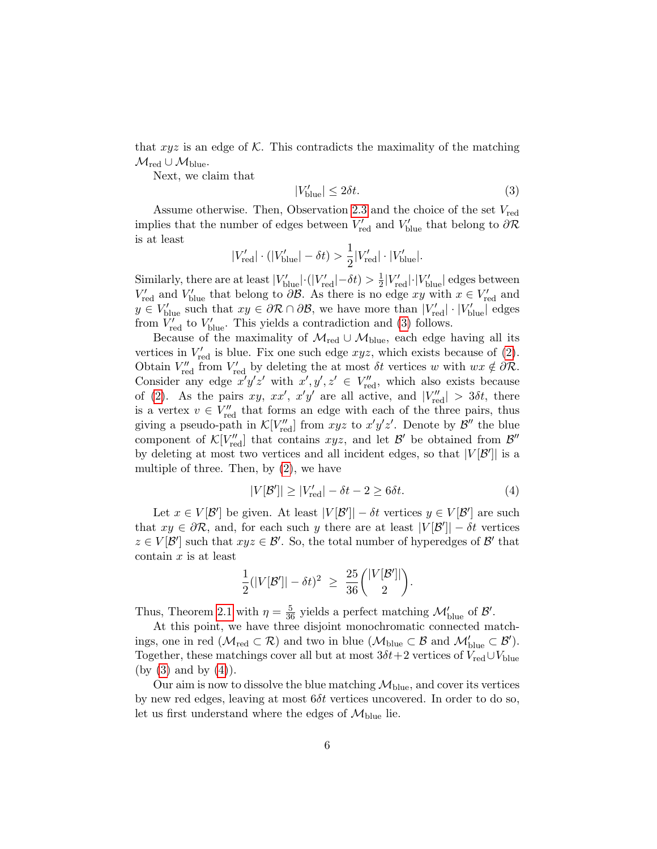that  $xyz$  is an edge of K. This contradicts the maximality of the matching  $\mathcal{M}_{\text{red}} \cup \mathcal{M}_{\text{blue}}.$ 

Next, we claim that

<span id="page-5-0"></span>
$$
|V'_{\text{blue}}| \le 2\delta t. \tag{3}
$$

Assume otherwise. Then, Observation [2.3](#page-4-0) and the choice of the set  $V_{\text{red}}$ implies that the number of edges between  $V'_{\text{red}}$  and  $V'_{\text{blue}}$  that belong to  $\partial \mathcal{R}$ is at least

$$
|V'_{\text{red}}| \cdot (|V'_{\text{blue}}| - \delta t) > \frac{1}{2}|V'_{\text{red}}| \cdot |V'_{\text{blue}}|.
$$

Similarly, there are at least  $|V'_{blue}| \cdot (|V'_{red}| - \delta t) > \frac{1}{2}$  $\frac{1}{2}|V'_{\text{red}}|\cdot|V'_{\text{blue}}|$  edges between  $V'_{\text{red}}$  and  $V'_{\text{blue}}$  that belong to  $\partial \mathcal{B}$ . As there is no edge xy with  $x \in V'_{\text{red}}$  and  $y \in V'_{\text{blue}}$  such that  $xy \in \partial \mathcal{R} \cap \partial \mathcal{B}$ , we have more than  $|V'_{\text{red}}| \cdot |V'_{\text{blue}}|$  edges from  $V'_{\text{red}}$  to  $V'_{\text{blue}}$ . This yields a contradiction and [\(3\)](#page-5-0) follows.

Because of the maximality of  $\mathcal{M}_{\text{red}} \cup \mathcal{M}_{\text{blue}}$ , each edge having all its vertices in  $V'_{\text{red}}$  is blue. Fix one such edge  $xyz$ , which exists because of [\(2\)](#page-4-1). Obtain  $V''_{\text{red}}$  from  $V'_{\text{red}}$  by deleting the at most  $\delta t$  vertices w with  $wx \notin \partial \mathcal{R}$ . Consider any edge  $x'y'z'$  with  $x', y', z' \in V''_{\text{red}}$ , which also exists because of [\(2\)](#page-4-1). As the pairs xy, xx', x'y' are all active, and  $|V''_{\text{red}}| > 3\delta t$ , there is a vertex  $v \in V''_{\text{red}}$  that forms an edge with each of the three pairs, thus giving a pseudo-path in  $\mathcal{K}[V''_{\text{red}}]$  from  $xyz$  to  $x'y'z'$ . Denote by  $\mathcal{B}''$  the blue component of  $\mathcal{K}[V''_{\text{red}}]$  that contains  $xyz$ , and let  $\mathcal{B}'$  be obtained from  $\mathcal{B}''$ by deleting at most two vertices and all incident edges, so that  $|V[\mathcal{B}']|$  is a multiple of three. Then, by [\(2\)](#page-4-1), we have

<span id="page-5-1"></span>
$$
|V[\mathcal{B}']| \ge |V'_{\text{red}}| - \delta t - 2 \ge 6\delta t. \tag{4}
$$

Let  $x \in V[\mathcal{B}']$  be given. At least  $|V[\mathcal{B}']| - \delta t$  vertices  $y \in V[\mathcal{B}']$  are such that  $xy \in \partial \mathcal{R}$ , and, for each such y there are at least  $|V[\mathcal{B}']| - \delta t$  vertices  $z \in V[\mathcal{B}']$  such that  $xyz \in \mathcal{B}'$ . So, the total number of hyperedges of  $\mathcal{B}'$  that contain  $x$  is at least

$$
\frac{1}{2}(|V[\mathcal{B}']| - \delta t)^2 \ \geq \ \frac{25}{36} {|V[\mathcal{B}']| \choose 2}.
$$

Thus, Theorem [2.1](#page-3-1) with  $\eta = \frac{5}{36}$  yields a perfect matching  $\mathcal{M}'_{blue}$  of  $\mathcal{B}'$ .

At this point, we have three disjoint monochromatic connected matchings, one in red  $(\mathcal{M}_{red} \subset \mathcal{R})$  and two in blue  $(\mathcal{M}_{blue} \subset \mathcal{B}$  and  $\mathcal{M}'_{blue} \subset \mathcal{B}'$ ). Together, these matchings cover all but at most  $3\delta t + 2$  vertices of  $V_{\text{red}} \cup V_{\text{blue}}$  $(by (3) and by (4)).$  $(by (3) and by (4)).$  $(by (3) and by (4)).$  $(by (3) and by (4)).$  $(by (3) and by (4)).$ 

Our aim is now to dissolve the blue matching  $\mathcal{M}_{blue}$ , and cover its vertices by new red edges, leaving at most  $6\delta t$  vertices uncovered. In order to do so, let us first understand where the edges of  $\mathcal{M}_{blue}$  lie.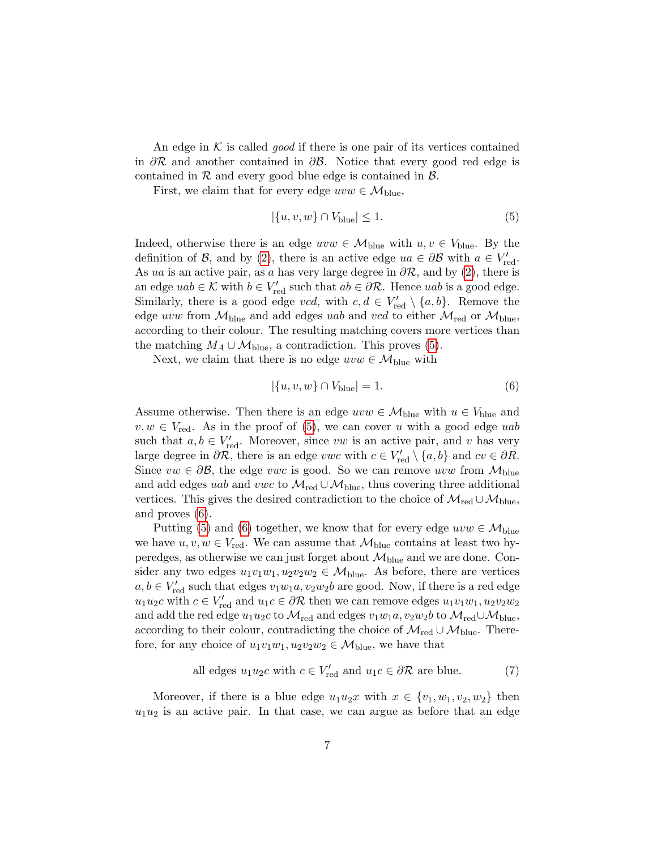An edge in  $K$  is called *good* if there is one pair of its vertices contained in  $\partial \mathcal{R}$  and another contained in  $\partial \mathcal{B}$ . Notice that every good red edge is contained in  $R$  and every good blue edge is contained in  $B$ .

First, we claim that for every edge  $uvw \in M_{blue}$ ,

<span id="page-6-0"></span>
$$
|\{u, v, w\} \cap V_{\text{blue}}| \le 1. \tag{5}
$$

Indeed, otherwise there is an edge  $uvw \in \mathcal{M}_{blue}$  with  $u, v \in V_{blue}$ . By the definition of B, and by [\(2\)](#page-4-1), there is an active edge  $ua \in \partial \mathcal{B}$  with  $a \in V'_{\text{red}}$ . As ua is an active pair, as a has very large degree in  $\partial \mathcal{R}$ , and by [\(2\)](#page-4-1), there is an edge  $uab \in \mathcal{K}$  with  $b \in V'_{\text{red}}$  such that  $ab \in \partial \mathcal{R}$ . Hence  $uab$  is a good edge. Similarly, there is a good edge vcd, with  $c, d \in V'_{\text{red}} \setminus \{a, b\}$ . Remove the edge uvw from  $\mathcal{M}_{blue}$  and add edges uab and vcd to either  $\mathcal{M}_{red}$  or  $\mathcal{M}_{blue}$ , according to their colour. The resulting matching covers more vertices than the matching  $M_A \cup \mathcal{M}_{blue}$ , a contradiction. This proves [\(5\)](#page-6-0).

Next, we claim that there is no edge  $uvw \in \mathcal{M}_{blue}$  with

<span id="page-6-1"></span>
$$
|\{u, v, w\} \cap V_{\text{blue}}| = 1. \tag{6}
$$

Assume otherwise. Then there is an edge  $uvw \in M_{blue}$  with  $u \in V_{blue}$  and  $v, w \in V_{\text{red}}$ . As in the proof of [\(5\)](#page-6-0), we can cover u with a good edge uab such that  $a, b \in V'_{\text{red}}$ . Moreover, since vw is an active pair, and v has very large degree in  $\partial \mathcal{R}$ , there is an edge vwc with  $c \in V'_{\text{red}} \setminus \{a, b\}$  and  $cv \in \partial R$ . Since  $vw \in \partial \mathcal{B}$ , the edge vwc is good. So we can remove uvw from  $\mathcal{M}_{blue}$ and add edges uab and vwc to  $\mathcal{M}_{\text{red}} \cup \mathcal{M}_{\text{blue}}$ , thus covering three additional vertices. This gives the desired contradiction to the choice of  $\mathcal{M}_{red} \cup \mathcal{M}_{blue}$ , and proves [\(6\)](#page-6-1).

Putting [\(5\)](#page-6-0) and [\(6\)](#page-6-1) together, we know that for every edge  $uvw \in M_{blue}$ we have  $u, v, w \in V_{\text{red}}$ . We can assume that  $\mathcal{M}_{\text{blue}}$  contains at least two hyperedges, as otherwise we can just forget about  $\mathcal{M}_{blue}$  and we are done. Consider any two edges  $u_1v_1w_1, u_2v_2w_2 \in \mathcal{M}_{blue}$ . As before, there are vertices  $a, b \in V'_{\text{red}}$  such that edges  $v_1w_1a, v_2w_2b$  are good. Now, if there is a red edge  $u_1u_2c$  with  $c \in V'_{\text{red}}$  and  $u_1c \in \partial \mathcal{R}$  then we can remove edges  $u_1v_1w_1, u_2v_2w_2$ and add the red edge  $u_1u_2c$  to  $\mathcal{M}_{red}$  and edges  $v_1w_1a, v_2w_2b$  to  $\mathcal{M}_{red}\cup \mathcal{M}_{blue}$ , according to their colour, contradicting the choice of  $\mathcal{M}_{red} \cup \mathcal{M}_{blue}$ . Therefore, for any choice of  $u_1v_1w_1, u_2v_2w_2 \in \mathcal{M}_{blue}$ , we have that

<span id="page-6-2"></span>all edges 
$$
u_1 u_2 c
$$
 with  $c \in V'_{\text{red}}$  and  $u_1 c \in \partial \mathcal{R}$  are blue. (7)

Moreover, if there is a blue edge  $u_1u_2x$  with  $x \in \{v_1, w_1, v_2, w_2\}$  then  $u_1u_2$  is an active pair. In that case, we can argue as before that an edge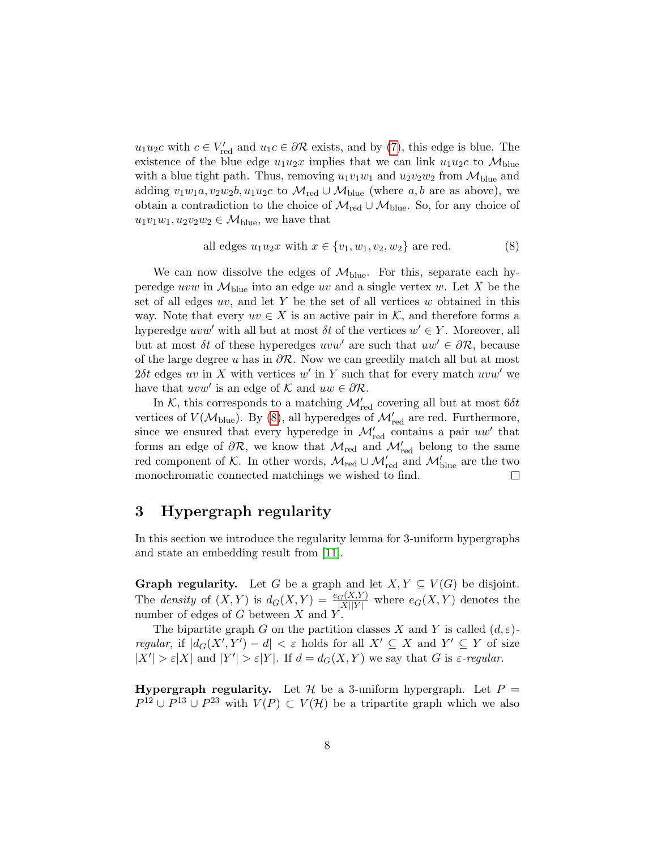$u_1u_2c$  with  $c \in V'_{\text{red}}$  and  $u_1c \in \partial \mathcal{R}$  exists, and by [\(7\)](#page-6-2), this edge is blue. The existence of the blue edge  $u_1u_2x$  implies that we can link  $u_1u_2c$  to  $\mathcal{M}_{blue}$ with a blue tight path. Thus, removing  $u_1v_1w_1$  and  $u_2v_2w_2$  from  $\mathcal{M}_{blue}$  and adding  $v_1w_1a, v_2w_2b, u_1u_2c$  to  $\mathcal{M}_{\text{red}} \cup \mathcal{M}_{\text{blue}}$  (where a, b are as above), we obtain a contradiction to the choice of  $\mathcal{M}_{red} \cup \mathcal{M}_{blue}$ . So, for any choice of  $u_1v_1w_1, u_2v_2w_2 \in \mathcal{M}_{blue}$ , we have that

<span id="page-7-1"></span>all edges 
$$
u_1 u_2 x
$$
 with  $x \in \{v_1, w_1, v_2, w_2\}$  are red. (8)

We can now dissolve the edges of  $\mathcal{M}_{blue}$ . For this, separate each hyperedge uvw in  $\mathcal{M}_{blue}$  into an edge uv and a single vertex w. Let X be the set of all edges  $uv$ , and let Y be the set of all vertices  $w$  obtained in this way. Note that every  $uv \in X$  is an active pair in K, and therefore forms a hyperedge uvw' with all but at most  $\delta t$  of the vertices  $w' \in Y$ . Moreover, all but at most  $\delta t$  of these hyperedges uvw' are such that  $uw' \in \partial \mathcal{R}$ , because of the large degree u has in  $\partial \mathcal{R}$ . Now we can greedily match all but at most 2δt edges uv in X with vertices w' in Y such that for every match uvw' we have that  $uvw'$  is an edge of K and  $uw \in \partial \mathcal{R}$ .

In  $K$ , this corresponds to a matching  $\mathcal{M}'_{\text{red}}$  covering all but at most  $6\delta t$ vertices of  $V(\mathcal{M}_{blue})$ . By [\(8\)](#page-7-1), all hyperedges of  $\mathcal{M}_{red}'$  are red. Furthermore, since we ensured that every hyperedge in  $\mathcal{M}'_{\text{red}}$  contains a pair  $uw'$  that forms an edge of  $\partial \mathcal{R}$ , we know that  $\mathcal{M}_{\text{red}}$  and  $\mathcal{M}'_{\text{red}}$  belong to the same red component of  $K$ . In other words,  $\mathcal{M}_{red} \cup \mathcal{M}_{red}'$  and  $\mathcal{M}_{blue}'$  are the two monochromatic connected matchings we wished to find.  $\Box$ 

### <span id="page-7-0"></span>3 Hypergraph regularity

In this section we introduce the regularity lemma for 3-uniform hypergraphs and state an embedding result from [\[11\]](#page-12-8).

**Graph regularity.** Let G be a graph and let  $X, Y \subseteq V(G)$  be disjoint. The density of  $(X, Y)$  is  $d_G(X, Y) = \frac{e_G(X, Y)}{|X||Y|}$  where  $e_G(X, Y)$  denotes the number of edges of  $G$  between  $X$  and  $Y$ .

The bipartite graph G on the partition classes X and Y is called  $(d, \varepsilon)$ . regular, if  $|d_G(X', Y') - d| < \varepsilon$  holds for all  $X' \subseteq X$  and  $Y' \subseteq Y$  of size  $|X'| > \varepsilon |X|$  and  $|Y'| > \varepsilon |Y|$ . If  $d = d_G(X, Y)$  we say that G is  $\varepsilon$ -regular.

**Hypergraph regularity.** Let  $\mathcal{H}$  be a 3-uniform hypergraph. Let  $P =$  $P^{12} \cup P^{13} \cup P^{23}$  with  $V(P) \subset V(H)$  be a tripartite graph which we also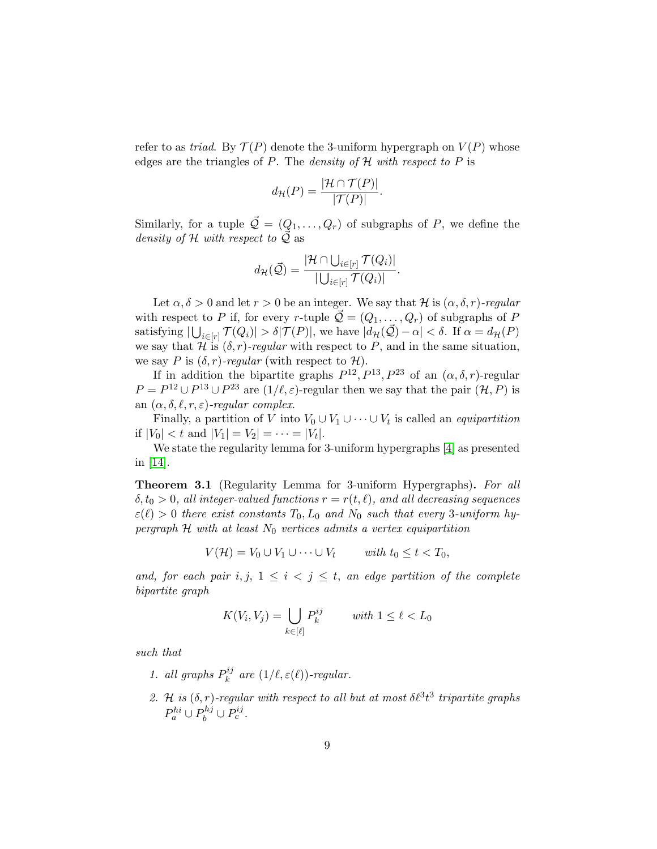refer to as *triad*. By  $\mathcal{T}(P)$  denote the 3-uniform hypergraph on  $V(P)$  whose edges are the triangles of P. The *density of*  $H$  with respect to P is

$$
d_{\mathcal{H}}(P) = \frac{|\mathcal{H} \cap \mathcal{T}(P)|}{|\mathcal{T}(P)|}
$$

.

Similarly, for a tuple  $\vec{Q} = (Q_1, \ldots, Q_r)$  of subgraphs of P, we define the density of H with respect to  $\vec{Q}$  as

$$
d_{\mathcal{H}}(\vec{\mathcal{Q}}) = \frac{|\mathcal{H} \cap \bigcup_{i \in [r]} \mathcal{T}(Q_i)|}{|\bigcup_{i \in [r]} \mathcal{T}(Q_i)|}.
$$

Let  $\alpha, \delta > 0$  and let  $r > 0$  be an integer. We say that H is  $(\alpha, \delta, r)$ -regular with respect to P if, for every r-tuple  $\mathcal{Q} = (Q_1, \ldots, Q_r)$  of subgraphs of P satisfying  $|\bigcup_{i\in[r]} \mathcal{T}(Q_i)| > \delta |\mathcal{T}(P)|$ , we have  $|d_{\mathcal{H}}(\vec{\mathcal{Q}}) - \alpha| < \delta$ . If  $\alpha = d_{\mathcal{H}}(P)$ we say that  $\mathcal{H}$  is  $(\delta, r)$ -regular with respect to P, and in the same situation, we say P is  $(\delta, r)$ -regular (with respect to H).

If in addition the bipartite graphs  $P^{12}$ ,  $P^{13}$ ,  $P^{23}$  of an  $(\alpha, \delta, r)$ -regular  $P = P^{12} \cup P^{13} \cup P^{23}$  are  $(1/\ell, \varepsilon)$ -regular then we say that the pair  $(\mathcal{H}, P)$  is an  $(\alpha, \delta, \ell, r, \varepsilon)$ -regular complex.

Finally, a partition of V into  $V_0 \cup V_1 \cup \cdots \cup V_t$  is called an *equipartition* if  $|V_0| < t$  and  $|V_1| = V_2| = \cdots = |V_t|$ .

We state the regularity lemma for 3-uniform hypergraphs [\[4\]](#page-12-9) as presented in [\[14\]](#page-13-3).

<span id="page-8-0"></span>Theorem 3.1 (Regularity Lemma for 3-uniform Hypergraphs). For all  $\delta, t_0 > 0$ , all integer-valued functions  $r = r(t, \ell)$ , and all decreasing sequences  $\varepsilon(\ell) > 0$  there exist constants  $T_0, L_0$  and  $N_0$  such that every 3-uniform hypergraph  $H$  with at least  $N_0$  vertices admits a vertex equipartition

 $V(\mathcal{H}) = V_0 \cup V_1 \cup \cdots \cup V_t \qquad with \ t_0 \leq t < T_0,$ 

and, for each pair i, j,  $1 \leq i < j \leq t$ , an edge partition of the complete bipartite graph

$$
K(V_i, V_j) = \bigcup_{k \in [\ell]} P_k^{ij} \qquad \text{with } 1 \le \ell < L_0
$$

such that

- 1. all graphs  $P_k^{ij}$  $\kappa^{ij}$  are  $(1/\ell, \varepsilon(\ell))$ -regular.
- 2. H is  $(\delta, r)$ -regular with respect to all but at most  $\delta \ell^3 t^3$  tripartite graphs  $P_a^{hi} \cup P_b^{hj} \cup P_c^{ij}$ .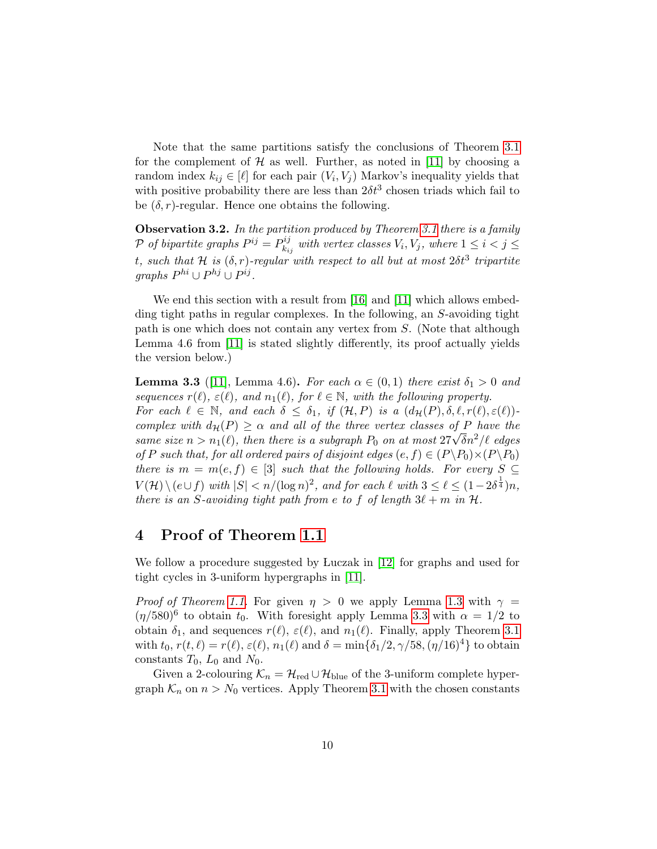Note that the same partitions satisfy the conclusions of Theorem [3.1](#page-8-0) for the complement of  $\mathcal H$  as well. Further, as noted in [\[11\]](#page-12-8) by choosing a random index  $k_{ij} \in [\ell]$  for each pair  $(V_i, V_j)$  Markov's inequality yields that with positive probability there are less than  $2\delta t^3$  chosen triads which fail to be  $(\delta, r)$ -regular. Hence one obtains the following.

<span id="page-9-2"></span>**Observation 3.2.** In the partition produced by Theorem [3.1](#page-8-0) there is a family  $P$  of bipartite graphs  $P^{ij} = P_k^{ij}$  $\mathcal{E}_{k_{ij}}^{i,j}$  with vertex classes  $V_i, V_j,$  where  $1 \leq i < j \leq j$ t, such that H is  $(\delta, r)$ -regular with respect to all but at most  $2\delta t^3$  tripartite  $graphs P^{hi} \cup P^{hj} \cup P^{ij}.$ 

We end this section with a result from [\[16\]](#page-13-4) and [\[11\]](#page-12-8) which allows embedding tight paths in regular complexes. In the following, an S-avoiding tight path is one which does not contain any vertex from S. (Note that although Lemma 4.6 from [\[11\]](#page-12-8) is stated slightly differently, its proof actually yields the version below.)

<span id="page-9-1"></span>**Lemma 3.3** ([\[11\]](#page-12-8), Lemma 4.6). For each  $\alpha \in (0,1)$  there exist  $\delta_1 > 0$  and sequences  $r(\ell), \varepsilon(\ell),$  and  $n_1(\ell),$  for  $\ell \in \mathbb{N}$ , with the following property. For each  $\ell \in \mathbb{N}$ , and each  $\delta \leq \delta_1$ , if  $(\mathcal{H}, P)$  is a  $(d_{\mathcal{H}}(P), \delta, \ell, r(\ell), \varepsilon(\ell))$ complex with  $d_{\mathcal{H}}(P) \geq \alpha$  and all of the three vertex classes of P have the complex with  $a_{\mathcal{H}}(P) \geq \alpha$  and all of the three vertex classes of P have the same size  $n > n_1(\ell)$ , then there is a subgraph  $P_0$  on at most  $27\sqrt{\delta}n^2/\ell$  edges of P such that, for all ordered pairs of disjoint edges  $(e, f) \in (P \backslash P_0) \times (P \backslash P_0)$ there is  $m = m(e, f) \in [3]$  such that the following holds. For every  $S \subseteq$  $V(\mathcal{H}) \setminus (e \cup f)$  with  $|S| < n/(\log n)^2$ , and for each  $\ell$  with  $3 \leq \ell \leq (1-2\delta^{\frac{1}{4}})n$ , there is an S-avoiding tight path from e to f of length  $3\ell + m$  in  $\mathcal{H}$ .

### <span id="page-9-0"></span>4 Proof of Theorem [1.1](#page-1-0)

We follow a procedure suggested by Luczak in [\[12\]](#page-13-5) for graphs and used for tight cycles in 3-uniform hypergraphs in [\[11\]](#page-12-8).

*Proof of Theorem [1.1.](#page-1-0)* For given  $\eta > 0$  we apply Lemma [1.3](#page-2-0) with  $\gamma =$  $(\eta/580)^6$  to obtain  $t_0$ . With foresight apply Lemma [3.3](#page-9-1) with  $\alpha = 1/2$  to obtain  $\delta_1$ , and sequences  $r(\ell), \varepsilon(\ell)$ , and  $n_1(\ell)$ . Finally, apply Theorem [3.1](#page-8-0) with  $t_0$ ,  $r(t, \ell) = r(\ell), \varepsilon(\ell), n_1(\ell)$  and  $\delta = \min{\delta_1/2, \gamma/58, (\eta/16)^4}$  to obtain constants  $T_0$ ,  $L_0$  and  $N_0$ .

Given a 2-colouring  $\mathcal{K}_n = \mathcal{H}_{\text{red}} \cup \mathcal{H}_{\text{blue}}$  of the 3-uniform complete hypergraph  $\mathcal{K}_n$  on  $n > N_0$  vertices. Apply Theorem [3.1](#page-8-0) with the chosen constants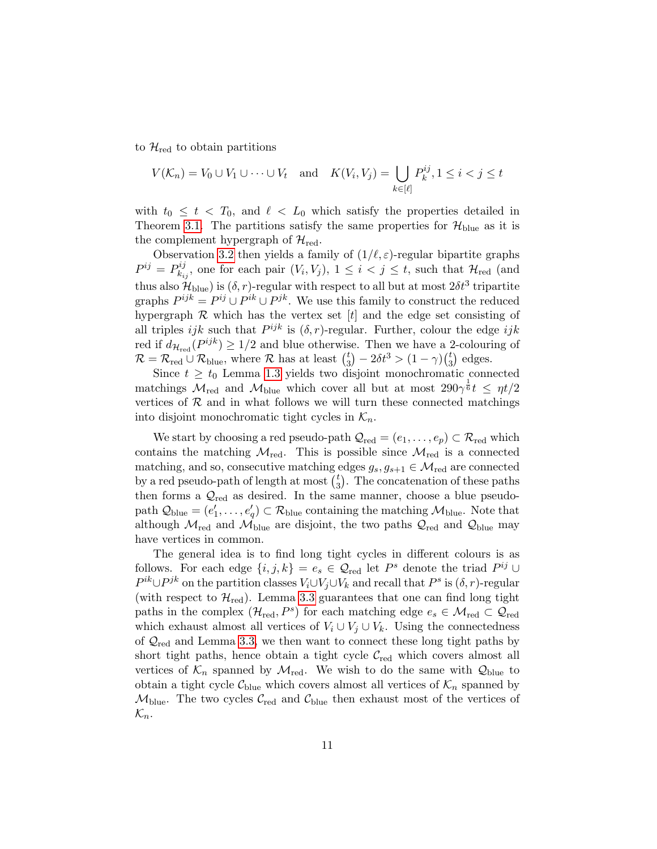to  $\mathcal{H}_{\text{red}}$  to obtain partitions

$$
V(\mathcal{K}_n) = V_0 \cup V_1 \cup \dots \cup V_t \quad \text{and} \quad K(V_i, V_j) = \bigcup_{k \in [\ell]} P_k^{ij}, 1 \le i < j \le t
$$

with  $t_0 \leq t < T_0$ , and  $\ell < L_0$  which satisfy the properties detailed in Theorem [3.1.](#page-8-0) The partitions satisfy the same properties for  $\mathcal{H}_{blue}$  as it is the complement hypergraph of  $\mathcal{H}_{\text{red}}$ .

Observation [3.2](#page-9-2) then yields a family of  $(1/\ell, \varepsilon)$ -regular bipartite graphs  $P^{ij} = P_k^{ij}$  $\mathcal{H}_{k_{ij}}^{ij}$ , one for each pair  $(V_i, V_j)$ ,  $1 \leq i < j \leq t$ , such that  $\mathcal{H}_{red}$  (and thus also  $\mathcal{H}_{blue}$ ) is  $(\delta, r)$ -regular with respect to all but at most  $2\delta t^3$  tripartite graphs  $P^{ijk} = P^{ij} \cup P^{jk}$ . We use this family to construct the reduced hypergraph  $R$  which has the vertex set  $[t]$  and the edge set consisting of all triples *ijk* such that  $P^{ijk}$  is  $(\delta, r)$ -regular. Further, colour the edge *ijk* red if  $d_{\mathcal{H}_{red}}(P^{ijk}) \geq 1/2$  and blue otherwise. Then we have a 2-colouring of  $\mathcal{R} = \mathcal{R}_{red} \cup \mathcal{R}_{blue}$ , where  $\mathcal{R}$  has at least  $\binom{t}{3}$  $t_3^t$  –  $2\delta t^3 > (1 - \gamma) \binom{t}{3}$  $_{3}^{t}$ ) edges.

Since  $t \geq t_0$  Lemma [1.3](#page-2-0) yields two disjoint monochromatic connected matchings  $\mathcal{M}_{\text{red}}$  and  $\mathcal{M}_{\text{blue}}$  which cover all but at most  $290\gamma^{\frac{1}{6}}t \leq \eta t/2$ vertices of  $R$  and in what follows we will turn these connected matchings into disjoint monochromatic tight cycles in  $\mathcal{K}_n$ .

We start by choosing a red pseudo-path  $\mathcal{Q}_{red} = (e_1, \ldots, e_p) \subset \mathcal{R}_{red}$  which contains the matching  $\mathcal{M}_{\text{red}}$ . This is possible since  $\mathcal{M}_{\text{red}}$  is a connected matching, and so, consecutive matching edges  $g_s, g_{s+1} \in \mathcal{M}_{\text{red}}$  are connected by a red pseudo-path of length at most  $\binom{t}{3}$  $_{3}^{t}$ ). The concatenation of these paths then forms a  $\mathcal{Q}_{\text{red}}$  as desired. In the same manner, choose a blue pseudopath  $\mathcal{Q}_{blue} = (e'_1, \ldots, e'_q) \subset \mathcal{R}_{blue}$  containing the matching  $\mathcal{M}_{blue}$ . Note that although  $\mathcal{M}_{red}$  and  $\mathcal{M}_{blue}$  are disjoint, the two paths  $\mathcal{Q}_{red}$  and  $\mathcal{Q}_{blue}$  may have vertices in common.

The general idea is to find long tight cycles in different colours is as follows. For each edge  $\{i, j, k\} = e_s \in \mathcal{Q}_{red}$  let  $P^s$  denote the triad  $P^{ij} \cup$  $P^{ik} \cup P^{jk}$  on the partition classes  $V_i \cup V_j \cup V_k$  and recall that  $P^s$  is  $(\delta, r)$ -regular (with respect to  $\mathcal{H}_{\text{red}}$ ). Lemma [3.3](#page-9-1) guarantees that one can find long tight paths in the complex  $(\mathcal{H}_{red}, P^s)$  for each matching edge  $e_s \in \mathcal{M}_{red} \subset \mathcal{Q}_{red}$ which exhaust almost all vertices of  $V_i \cup V_j \cup V_k$ . Using the connectedness of  $\mathcal{Q}_{\text{red}}$  and Lemma [3.3,](#page-9-1) we then want to connect these long tight paths by short tight paths, hence obtain a tight cycle  $\mathcal{C}_{\text{red}}$  which covers almost all vertices of  $\mathcal{K}_n$  spanned by  $\mathcal{M}_{\text{red}}$ . We wish to do the same with  $\mathcal{Q}_{\text{blue}}$  to obtain a tight cycle  $\mathcal{C}_{blue}$  which covers almost all vertices of  $\mathcal{K}_n$  spanned by  $M_{\text{blue}}$ . The two cycles  $C_{\text{red}}$  and  $C_{\text{blue}}$  then exhaust most of the vertices of  $\mathcal{K}_n$ .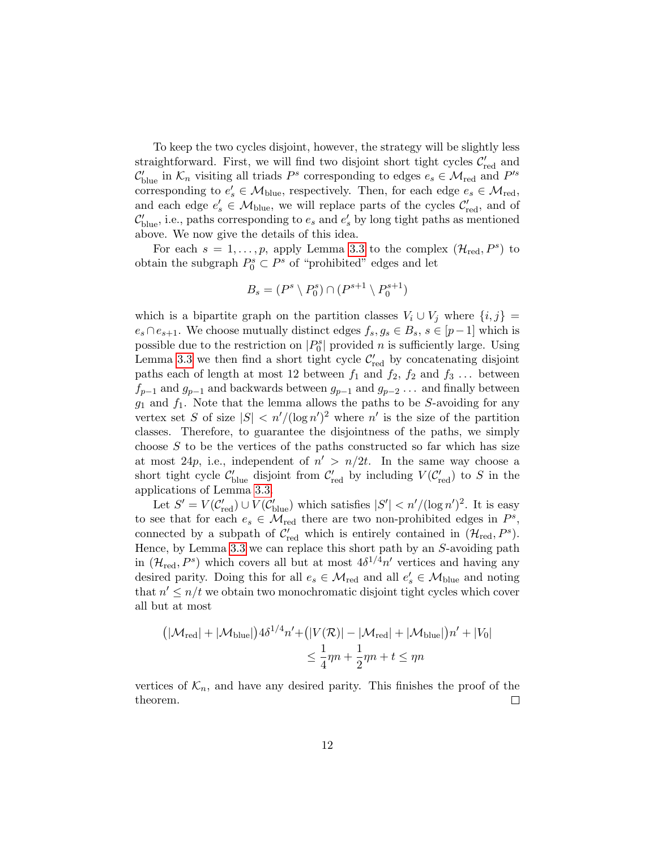To keep the two cycles disjoint, however, the strategy will be slightly less straightforward. First, we will find two disjoint short tight cycles  $\mathcal{C}'_{\text{red}}$  and  $\mathcal{C}'_{blue}$  in  $\mathcal{K}_n$  visiting all triads  $P^s$  corresponding to edges  $e_s \in \mathcal{M}_{red}$  and  $P'^s$ corresponding to  $e'_s \in M_{blue}$ , respectively. Then, for each edge  $e_s \in M_{red}$ , and each edge  $e'_{s} \in M_{blue}$ , we will replace parts of the cycles  $C'_{red}$ , and of  $\mathcal{C}'_{blue}$ , i.e., paths corresponding to  $e_s$  and  $e'_s$  by long tight paths as mentioned above. We now give the details of this idea.

For each  $s = 1, \ldots, p$ , apply Lemma [3.3](#page-9-1) to the complex  $(\mathcal{H}_{red}, P^s)$  to obtain the subgraph  $P_0^s \subset P^s$  of "prohibited" edges and let

$$
B_s = (P^s \setminus P_0^s) \cap (P^{s+1} \setminus P_0^{s+1})
$$

which is a bipartite graph on the partition classes  $V_i \cup V_j$  where  $\{i, j\} =$  $e_s \cap e_{s+1}$ . We choose mutually distinct edges  $f_s, g_s \in B_s$ ,  $s \in [p-1]$  which is possible due to the restriction on  $|P_0^s|$  provided n is sufficiently large. Using Lemma [3.3](#page-9-1) we then find a short tight cycle  $\mathcal{C}'_{\text{red}}$  by concatenating disjoint paths each of length at most 12 between  $f_1$  and  $f_2$ ,  $f_2$  and  $f_3$ ... between  $f_{p-1}$  and  $g_{p-1}$  and backwards between  $g_{p-1}$  and  $g_{p-2}$ ... and finally between  $g_1$  and  $f_1$ . Note that the lemma allows the paths to be S-avoiding for any vertex set S of size  $|S| < n'/(\log n')^2$  where n' is the size of the partition classes. Therefore, to guarantee the disjointness of the paths, we simply choose  $S$  to be the vertices of the paths constructed so far which has size at most 24p, i.e., independent of  $n' > n/2t$ . In the same way choose a short tight cycle  $C'_{blue}$  disjoint from  $C'_{red}$  by including  $V(C'_{red})$  to S in the applications of Lemma [3.3.](#page-9-1)

Let  $S' = V(C'_{red}) \cup V(C'_{blue})$  which satisfies  $|S'| < n' / (\log n')^2$ . It is easy to see that for each  $e_s \in \mathcal{M}_{\text{red}}$  there are two non-prohibited edges in  $P^s$ , connected by a subpath of  $\mathcal{C}'_{\text{red}}$  which is entirely contained in  $(\mathcal{H}_{\text{red}}, P^s)$ . Hence, by Lemma [3.3](#page-9-1) we can replace this short path by an S-avoiding path in  $(\mathcal{H}_{\text{red}}, P^s)$  which covers all but at most  $4\delta^{1/4}n'$  vertices and having any desired parity. Doing this for all  $e_s \in M_{red}$  and all  $e'_s \in M_{blue}$  and noting that  $n' \leq n/t$  we obtain two monochromatic disjoint tight cycles which cover all but at most

$$
(|\mathcal{M}_{\text{red}}| + |\mathcal{M}_{\text{blue}}|) 4\delta^{1/4} n' + (|V(\mathcal{R})| - |\mathcal{M}_{\text{red}}| + |\mathcal{M}_{\text{blue}}|) n' + |V_0|
$$
  

$$
\leq \frac{1}{4} \eta n + \frac{1}{2} \eta n + t \leq \eta n
$$

vertices of  $\mathcal{K}_n$ , and have any desired parity. This finishes the proof of the theorem.  $\Box$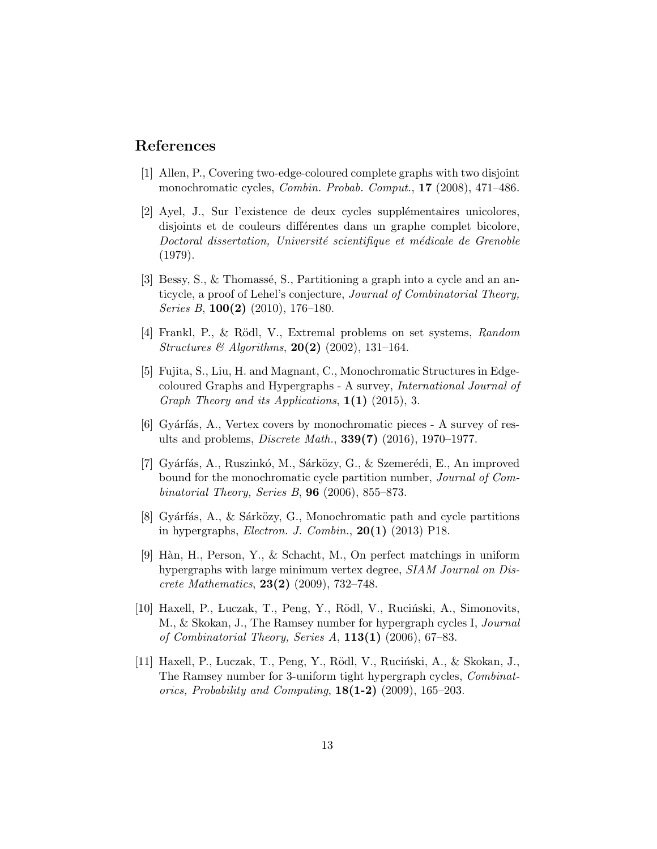## References

- <span id="page-12-3"></span>[1] Allen, P., Covering two-edge-coloured complete graphs with two disjoint monochromatic cycles, Combin. Probab. Comput., 17 (2008), 471–486.
- <span id="page-12-2"></span>[2] Ayel, J., Sur l'existence de deux cycles supplémentaires unicolores, disjoints et de couleurs différentes dans un graphe complet bicolore, Doctoral dissertation, Université scientifique et médicale de Grenoble (1979).
- <span id="page-12-4"></span>[3] Bessy, S., & Thomassé, S., Partitioning a graph into a cycle and an anticycle, a proof of Lehel's conjecture, Journal of Combinatorial Theory, Series B,  $100(2)$  (2010), 176–180.
- <span id="page-12-9"></span>[4] Frankl, P., & Rödl, V., Extremal problems on set systems, Random *Structures & Algorithms*, **20(2)** (2002), 131-164.
- <span id="page-12-0"></span>[5] Fujita, S., Liu, H. and Magnant, C., Monochromatic Structures in Edgecoloured Graphs and Hypergraphs - A survey, International Journal of Graph Theory and its Applications,  $1(1)$  (2015), 3.
- <span id="page-12-1"></span> $[6]$  Gyárfás, A., Vertex covers by monochromatic pieces - A survey of results and problems, Discrete Math., 339(7) (2016), 1970–1977.
- <span id="page-12-5"></span>[7] Gyárfás, A., Ruszinkó, M., Sárközy, G., & Szemerédi, E., An improved bound for the monochromatic cycle partition number, Journal of Combinatorial Theory, Series B,  $96$  (2006), 855–873.
- <span id="page-12-6"></span>[8] Gyárfás, A., & Sárközy, G., Monochromatic path and cycle partitions in hypergraphs, *Electron. J. Combin.*,  $20(1)$  (2013) P18.
- <span id="page-12-10"></span>[9] Hàn, H., Person, Y., & Schacht, M., On perfect matchings in uniform hypergraphs with large minimum vertex degree, SIAM Journal on Discrete Mathematics, 23(2) (2009), 732–748.
- <span id="page-12-7"></span>[10] Haxell, P., Luczak, T., Peng, Y., Rödl, V., Ruciński, A., Simonovits, M., & Skokan, J., The Ramsey number for hypergraph cycles I, Journal of Combinatorial Theory, Series A,  $113(1)$  (2006), 67-83.
- <span id="page-12-8"></span>[11] Haxell, P., Luczak, T., Peng, Y., Rödl, V., Ruciński, A., & Skokan, J., The Ramsey number for 3-uniform tight hypergraph cycles, Combinatorics, Probability and Computing,  $18(1-2)$  (2009), 165–203.